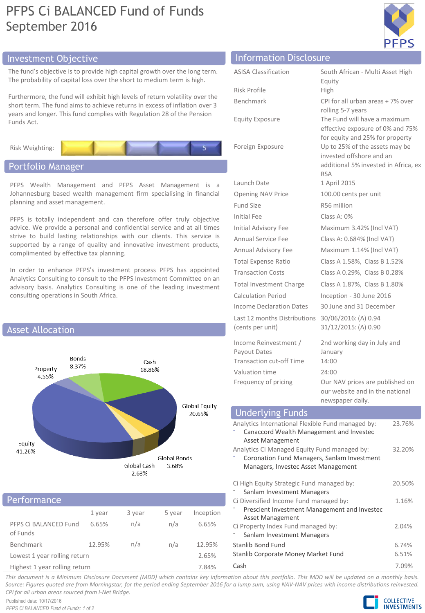# PFPS Ci BALANCED Fund of Funds September 2016



# Investment Objective Information Disclosure

The fund's objective is to provide high capital growth over the long term. The probability of capital loss over the short to medium term is high.

Furthermore, the fund will exhibit high levels of return volatility over the short term. The fund aims to achieve returns in excess of inflation over 3 years and longer. This fund complies with Regulation 28 of the Pension Funds Act.

Risk Weighting:

# Portfolio Manager

PFPS Wealth Management and PFPS Asset Management is a Johannesburg based wealth management firm specialising in financial planning and asset management.

PFPS is totally independent and can therefore offer truly objective advice. We provide a personal and confidential service and at all times strive to build lasting relationships with our clients. This service is supported by a range of quality and innovative investment products, complimented by effective tax planning.

In order to enhance PFPS's investment process PFPS has appointed Analytics Consulting to consult to the PFPS Investment Committee on an advisory basis. Analytics Consulting is one of the leading investment consulting operations in South Africa.



## 1 year 3 year 5 year Inception PFPS Ci BALANCED Fund of Funds 6.65% n/a n/a 6.65% Benchmark 12.95% n/a n/a 12.95% Lowest 1 year rolling return 2.65% Highest 1 year rolling return 7.84% Performance

| THOLITUCION DIJC(OJUI C     |                                                                                      |
|-----------------------------|--------------------------------------------------------------------------------------|
| <b>ASISA Classification</b> | South African - Multi Asset High<br>Equity                                           |
| Risk Profile                | High                                                                                 |
| Benchmark                   | CPI for all urban areas + 7% over                                                    |
| Equity Exposure             | rolling 5-7 years<br>The Fund will have a maximum<br>effective exposure of 0% and 75 |

Launch Date 1 April 2015

Fund Size R56 million Initial Fee Class A: 0%

Last 12 months Distributions

(cents per unit)

Income Reinvestment / Payout Dates Transaction cut-off Time 14:00 Valuation time 24:00

re of 0% and 75% for equity and 25% for property Foreign Exposure Up to 25% of the assets may be invested offshore and an additional 5% invested in Africa, ex RSA Opening NAV Price 100.00 cents per unit Initial Advisory Fee Maximum 3.42% (Incl VAT) Annual Service Fee Class A: 0.684% (Incl VAT) Annual Advisory Fee Maximum 1.14% (Incl VAT) Total Expense Ratio Class A 1.58%, Class B 1.52% Transaction Costs Class A 0.29%, Class B 0.28% Total Investment Charge Class A 1.87%, Class B 1.80% Calculation Period Inception - 30 June 2016 Income Declaration Dates 30 June and 31 December 30/06/2016: (A) 0.94 31/12/2015: (A) 0.90 2nd working day in July and January

Frequency of pricing Our NAV prices are published on our website and in the national newspaper daily.

#### Analytics International Flexible Fund managed by: ⁻ Canaccord Wealth Management and Investec Asset Management 23.76% Analytics Ci Managed Equity Fund managed by: 32.20% Underlying Funds

| Coronation Fund Managers, Sanlam Investment<br>Managers, Investec Asset Management |        |
|------------------------------------------------------------------------------------|--------|
| Ci High Equity Strategic Fund managed by:                                          | 20.50% |
| Sanlam Investment Managers                                                         |        |
| Ci Diversified Income Fund managed by:                                             | 1.16%  |
| Prescient Investment Management and Investec                                       |        |
| Asset Management                                                                   |        |
| Ci Property Index Fund managed by:                                                 | 2.04%  |
| Sanlam Investment Managers                                                         |        |
| Stanlib Bond Fund                                                                  | 6.74%  |
| Stanlib Corporate Money Market Fund                                                | 6.51%  |
|                                                                                    |        |

Cash 7.09%

This document is a Minimum Disclosure Document (MDD) which contains key information about this portfolio. This MDD will be updated on a monthly basis. Source: Figures quoted are from Morningstar, for the period ending September 2016 for a lump sum, using NAV-NAV prices with income distributions reinvested. *CPI for all urban areas sourced from I-Net Bridge.*

Published date: 10/17/2016 *PFPS Ci BALANCED Fund of Funds: 1 of 2*